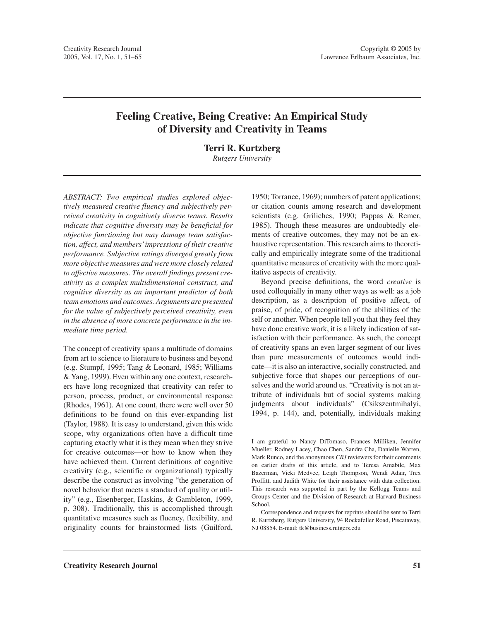# **Feeling Creative, Being Creative: An Empirical Study of Diversity and Creativity in Teams**

**Terri R. Kurtzberg** *Rutgers University*

*ABSTRACT: Two empirical studies explored objectively measured creative fluency and subjectively perceived creativity in cognitively diverse teams. Results indicate that cognitive diversity may be beneficial for objective functioning but may damage team satisfaction, affect, and members'impressions of their creative performance. Subjective ratings diverged greatly from more objective measures and were more closely related to affective measures. The overall findings present creativity as a complex multidimensional construct, and cognitive diversity as an important predictor of both team emotions and outcomes. Arguments are presented for the value of subjectively perceived creativity, even in the absence of more concrete performance in the immediate time period.*

The concept of creativity spans a multitude of domains from art to science to literature to business and beyond (e.g. Stumpf, 1995; Tang & Leonard, 1985; Williams & Yang, 1999). Even within any one context, researchers have long recognized that creativity can refer to person, process, product, or environmental response (Rhodes, 1961). At one count, there were well over 50 definitions to be found on this ever-expanding list (Taylor, 1988). It is easy to understand, given this wide scope, why organizations often have a difficult time capturing exactly what it is they mean when they strive for creative outcomes—or how to know when they have achieved them. Current definitions of cognitive creativity (e.g., scientific or organizational) typically describe the construct as involving "the generation of novel behavior that meets a standard of quality or utility" (e.g., Eisenberger, Haskins, & Gambleton, 1999, p. 308). Traditionally, this is accomplished through quantitative measures such as fluency, flexibility, and originality counts for brainstormed lists (Guilford,

1950; Torrance, 1969); numbers of patent applications; or citation counts among research and development scientists (e.g. Griliches, 1990; Pappas & Remer, 1985). Though these measures are undoubtedly elements of creative outcomes, they may not be an exhaustive representation. This research aims to theoretically and empirically integrate some of the traditional quantitative measures of creativity with the more qualitative aspects of creativity.

Beyond precise definitions, the word *creative* is used colloquially in many other ways as well: as a job description, as a description of positive affect, of praise, of pride, of recognition of the abilities of the self or another. When people tell you that they feel they have done creative work, it is a likely indication of satisfaction with their performance. As such, the concept of creativity spans an even larger segment of our lives than pure measurements of outcomes would indicate—it is also an interactive, socially constructed, and subjective force that shapes our perceptions of ourselves and the world around us. "Creativity is not an attribute of individuals but of social systems making judgments about individuals" (Csikszentmihalyi, 1994, p. 144), and, potentially, individuals making

I am grateful to Nancy DiTomaso, Frances Milliken, Jennifer Mueller, Rodney Lacey, Chao Chen, Sandra Cha, Danielle Warren, Mark Runco, and the anonymous *CRJ* reviewers for their comments on earlier drafts of this article, and to Teresa Amabile, Max Bazerman, Vicki Medvec, Leigh Thompson, Wendi Adair, Trex Proffitt, and Judith White for their assistance with data collection. This research was supported in part by the Kellogg Teams and Groups Center and the Division of Research at Harvard Business School.

Correspondence and requests for reprints should be sent to Terri R. Kurtzberg, Rutgers University, 94 Rockafeller Road, Piscataway, NJ 08854. E-mail: tk@business.rutgers.edu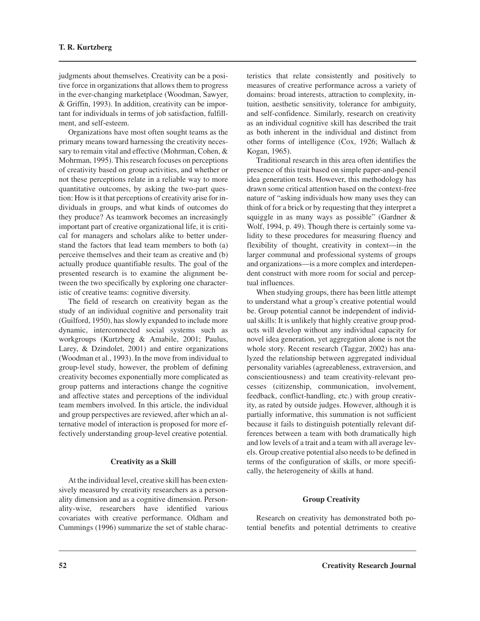judgments about themselves. Creativity can be a positive force in organizations that allows them to progress in the ever-changing marketplace (Woodman, Sawyer, & Griffin, 1993). In addition, creativity can be important for individuals in terms of job satisfaction, fulfillment, and self-esteem.

Organizations have most often sought teams as the primary means toward harnessing the creativity necessary to remain vital and effective (Mohrman, Cohen, & Mohrman, 1995). This research focuses on perceptions of creativity based on group activities, and whether or not these perceptions relate in a reliable way to more quantitative outcomes, by asking the two-part question: How is it that perceptions of creativity arise for individuals in groups, and what kinds of outcomes do they produce? As teamwork becomes an increasingly important part of creative organizational life, it is critical for managers and scholars alike to better understand the factors that lead team members to both (a) perceive themselves and their team as creative and (b) actually produce quantifiable results. The goal of the presented research is to examine the alignment between the two specifically by exploring one characteristic of creative teams: cognitive diversity.

The field of research on creativity began as the study of an individual cognitive and personality trait (Guilford, 1950), has slowly expanded to include more dynamic, interconnected social systems such as workgroups (Kurtzberg & Amabile, 2001; Paulus, Larey, & Dzindolet, 2001) and entire organizations (Woodman et al., 1993). In the move from individual to group-level study, however, the problem of defining creativity becomes exponentially more complicated as group patterns and interactions change the cognitive and affective states and perceptions of the individual team members involved. In this article, the individual and group perspectives are reviewed, after which an alternative model of interaction is proposed for more effectively understanding group-level creative potential.

## **Creativity as a Skill**

At the individual level, creative skill has been extensively measured by creativity researchers as a personality dimension and as a cognitive dimension. Personality-wise, researchers have identified various covariates with creative performance. Oldham and Cummings (1996) summarize the set of stable characteristics that relate consistently and positively to measures of creative performance across a variety of domains: broad interests, attraction to complexity, intuition, aesthetic sensitivity, tolerance for ambiguity, and self-confidence. Similarly, research on creativity as an individual cognitive skill has described the trait as both inherent in the individual and distinct from other forms of intelligence (Cox, 1926; Wallach & Kogan, 1965).

Traditional research in this area often identifies the presence of this trait based on simple paper-and-pencil idea generation tests. However, this methodology has drawn some critical attention based on the context-free nature of "asking individuals how many uses they can think of for a brick or by requesting that they interpret a squiggle in as many ways as possible" (Gardner & Wolf, 1994, p. 49). Though there is certainly some validity to these procedures for measuring fluency and flexibility of thought, creativity in context—in the larger communal and professional systems of groups and organizations—is a more complex and interdependent construct with more room for social and perceptual influences.

When studying groups, there has been little attempt to understand what a group's creative potential would be. Group potential cannot be independent of individual skills: It is unlikely that highly creative group products will develop without any individual capacity for novel idea generation, yet aggregation alone is not the whole story. Recent research (Taggar, 2002) has analyzed the relationship between aggregated individual personality variables (agreeableness, extraversion, and conscientiousness) and team creativity-relevant processes (citizenship, communication, involvement, feedback, conflict-handling, etc.) with group creativity, as rated by outside judges. However, although it is partially informative, this summation is not sufficient because it fails to distinguish potentially relevant differences between a team with both dramatically high and low levels of a trait and a team with all average levels. Group creative potential also needs to be defined in terms of the configuration of skills, or more specifically, the heterogeneity of skills at hand.

## **Group Creativity**

Research on creativity has demonstrated both potential benefits and potential detriments to creative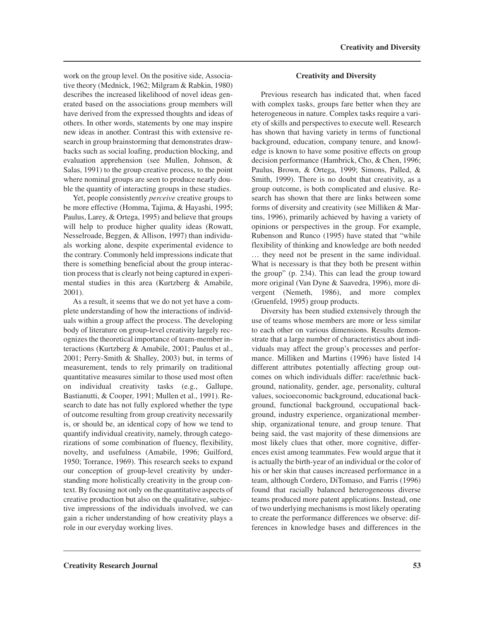work on the group level. On the positive side, Associative theory (Mednick, 1962; Milgram & Rabkin, 1980) describes the increased likelihood of novel ideas generated based on the associations group members will have derived from the expressed thoughts and ideas of others. In other words, statements by one may inspire new ideas in another. Contrast this with extensive research in group brainstorming that demonstrates drawbacks such as social loafing, production blocking, and evaluation apprehension (see Mullen, Johnson, & Salas, 1991) to the group creative process, to the point where nominal groups are seen to produce nearly double the quantity of interacting groups in these studies.

Yet, people consistently *perceive* creative groups to be more effective (Homma, Tajima, & Hayashi, 1995; Paulus, Larey, & Ortega, 1995) and believe that groups will help to produce higher quality ideas (Rowatt, Nesselroade, Beggen, & Allison, 1997) than individuals working alone, despite experimental evidence to the contrary. Commonly held impressions indicate that there is something beneficial about the group interaction process that is clearly not being captured in experimental studies in this area (Kurtzberg & Amabile, 2001).

As a result, it seems that we do not yet have a complete understanding of how the interactions of individuals within a group affect the process. The developing body of literature on group-level creativity largely recognizes the theoretical importance of team-member interactions (Kurtzberg & Amabile, 2001; Paulus et al., 2001; Perry-Smith & Shalley, 2003) but, in terms of measurement, tends to rely primarily on traditional quantitative measures similar to those used most often on individual creativity tasks (e.g., Gallupe, Bastianutti, & Cooper, 1991; Mullen et al., 1991). Research to date has not fully explored whether the type of outcome resulting from group creativity necessarily is, or should be, an identical copy of how we tend to quantify individual creativity, namely, through categorizations of some combination of fluency, flexibility, novelty, and usefulness (Amabile, 1996; Guilford, 1950; Torrance, 1969). This research seeks to expand our conception of group-level creativity by understanding more holistically creativity in the group context. By focusing not only on the quantitative aspects of creative production but also on the qualitative, subjective impressions of the individuals involved, we can gain a richer understanding of how creativity plays a role in our everyday working lives.

## **Creativity and Diversity**

Previous research has indicated that, when faced with complex tasks, groups fare better when they are heterogeneous in nature. Complex tasks require a variety of skills and perspectives to execute well. Research has shown that having variety in terms of functional background, education, company tenure, and knowledge is known to have some positive effects on group decision performance (Hambrick, Cho, & Chen, 1996; Paulus, Brown, & Ortega, 1999; Simons, Palled, & Smith, 1999). There is no doubt that creativity, as a group outcome, is both complicated and elusive. Research has shown that there are links between some forms of diversity and creativity (see Milliken & Martins, 1996), primarily achieved by having a variety of opinions or perspectives in the group. For example, Rubenson and Runco (1995) have stated that "while flexibility of thinking and knowledge are both needed … they need not be present in the same individual. What is necessary is that they both be present within the group" (p. 234). This can lead the group toward more original (Van Dyne & Saavedra, 1996), more divergent (Nemeth, 1986), and more complex (Gruenfeld, 1995) group products.

Diversity has been studied extensively through the use of teams whose members are more or less similar to each other on various dimensions. Results demonstrate that a large number of characteristics about individuals may affect the group's processes and performance. Milliken and Martins (1996) have listed 14 different attributes potentially affecting group outcomes on which individuals differ: race/ethnic background, nationality, gender, age, personality, cultural values, socioeconomic background, educational background, functional background, occupational background, industry experience, organizational membership, organizational tenure, and group tenure. That being said, the vast majority of these dimensions are most likely clues that other, more cognitive, differences exist among teammates. Few would argue that it is actually the birth-year of an individual or the color of his or her skin that causes increased performance in a team, although Cordero, DiTomaso, and Farris (1996) found that racially balanced heterogeneous diverse teams produced more patent applications. Instead, one of two underlying mechanisms is most likely operating to create the performance differences we observe: differences in knowledge bases and differences in the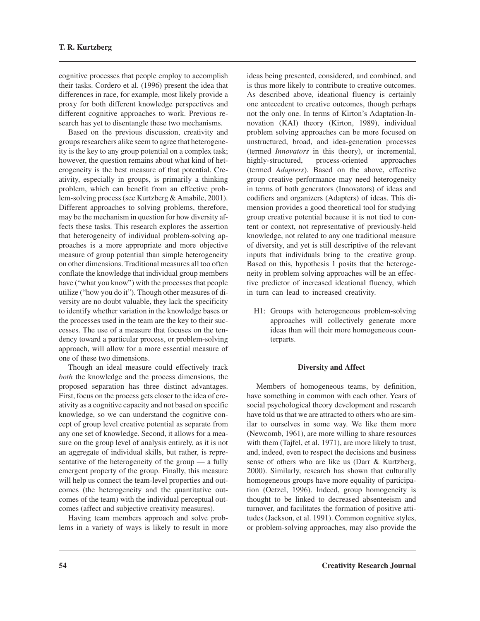cognitive processes that people employ to accomplish their tasks. Cordero et al. (1996) present the idea that differences in race, for example, most likely provide a proxy for both different knowledge perspectives and different cognitive approaches to work. Previous research has yet to disentangle these two mechanisms.

Based on the previous discussion, creativity and groups researchers alike seem to agree that heterogeneity is the key to any group potential on a complex task; however, the question remains about what kind of heterogeneity is the best measure of that potential. Creativity, especially in groups, is primarily a thinking problem, which can benefit from an effective problem-solving process (see Kurtzberg & Amabile, 2001). Different approaches to solving problems, therefore, may be the mechanism in question for how diversity affects these tasks. This research explores the assertion that heterogeneity of individual problem-solving approaches is a more appropriate and more objective measure of group potential than simple heterogeneity on other dimensions. Traditional measures all too often conflate the knowledge that individual group members have ("what you know") with the processes that people utilize ("how you do it"). Though other measures of diversity are no doubt valuable, they lack the specificity to identify whether variation in the knowledge bases or the processes used in the team are the key to their successes. The use of a measure that focuses on the tendency toward a particular process, or problem-solving approach, will allow for a more essential measure of one of these two dimensions.

Though an ideal measure could effectively track *both* the knowledge and the process dimensions, the proposed separation has three distinct advantages. First, focus on the process gets closer to the idea of creativity as a cognitive capacity and not based on specific knowledge, so we can understand the cognitive concept of group level creative potential as separate from any one set of knowledge. Second, it allows for a measure on the group level of analysis entirely, as it is not an aggregate of individual skills, but rather, is representative of the heterogeneity of the group — a fully emergent property of the group. Finally, this measure will help us connect the team-level properties and outcomes (the heterogeneity and the quantitative outcomes of the team) with the individual perceptual outcomes (affect and subjective creativity measures).

Having team members approach and solve problems in a variety of ways is likely to result in more ideas being presented, considered, and combined, and is thus more likely to contribute to creative outcomes. As described above, ideational fluency is certainly one antecedent to creative outcomes, though perhaps not the only one. In terms of Kirton's Adaptation-Innovation (KAI) theory (Kirton, 1989), individual problem solving approaches can be more focused on unstructured, broad, and idea-generation processes (termed *Innovators* in this theory), or incremental, highly-structured, process-oriented approaches (termed *Adapters*). Based on the above, effective group creative performance may need heterogeneity in terms of both generators (Innovators) of ideas and codifiers and organizers (Adapters) of ideas. This dimension provides a good theoretical tool for studying group creative potential because it is not tied to content or context, not representative of previously-held knowledge, not related to any one traditional measure of diversity, and yet is still descriptive of the relevant inputs that individuals bring to the creative group. Based on this, hypothesis 1 posits that the heterogeneity in problem solving approaches will be an effective predictor of increased ideational fluency, which in turn can lead to increased creativity.

H1: Groups with heterogeneous problem-solving approaches will collectively generate more ideas than will their more homogeneous counterparts.

#### **Diversity and Affect**

Members of homogeneous teams, by definition, have something in common with each other. Years of social psychological theory development and research have told us that we are attracted to others who are similar to ourselves in some way. We like them more (Newcomb, 1961), are more willing to share resources with them (Tajfel, et al. 1971), are more likely to trust, and, indeed, even to respect the decisions and business sense of others who are like us (Darr & Kurtzberg, 2000). Similarly, research has shown that culturally homogeneous groups have more equality of participation (Oetzel, 1996). Indeed, group homogeneity is thought to be linked to decreased absenteeism and turnover, and facilitates the formation of positive attitudes (Jackson, et al. 1991). Common cognitive styles, or problem-solving approaches, may also provide the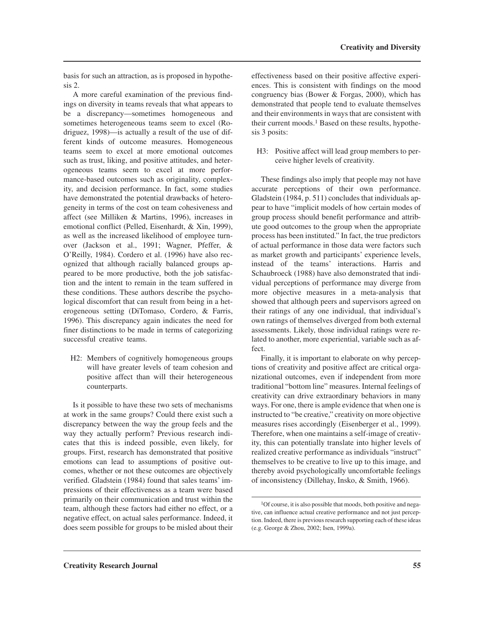basis for such an attraction, as is proposed in hypothesis 2.

A more careful examination of the previous findings on diversity in teams reveals that what appears to be a discrepancy—sometimes homogeneous and sometimes heterogeneous teams seem to excel (Rodriguez, 1998)—is actually a result of the use of different kinds of outcome measures. Homogeneous teams seem to excel at more emotional outcomes such as trust, liking, and positive attitudes, and heterogeneous teams seem to excel at more performance-based outcomes such as originality, complexity, and decision performance. In fact, some studies have demonstrated the potential drawbacks of heterogeneity in terms of the cost on team cohesiveness and affect (see Milliken & Martins, 1996), increases in emotional conflict (Pelled, Eisenhardt, & Xin, 1999), as well as the increased likelihood of employee turnover (Jackson et al., 1991; Wagner, Pfeffer, & O'Reilly, 1984). Cordero et al. (1996) have also recognized that although racially balanced groups appeared to be more productive, both the job satisfaction and the intent to remain in the team suffered in these conditions. These authors describe the psychological discomfort that can result from being in a heterogeneous setting (DiTomaso, Cordero, & Farris, 1996). This discrepancy again indicates the need for finer distinctions to be made in terms of categorizing successful creative teams.

H2: Members of cognitively homogeneous groups will have greater levels of team cohesion and positive affect than will their heterogeneous counterparts.

Is it possible to have these two sets of mechanisms at work in the same groups? Could there exist such a discrepancy between the way the group feels and the way they actually perform? Previous research indicates that this is indeed possible, even likely, for groups. First, research has demonstrated that positive emotions can lead to assumptions of positive outcomes, whether or not these outcomes are objectively verified. Gladstein (1984) found that sales teams' impressions of their effectiveness as a team were based primarily on their communication and trust within the team, although these factors had either no effect, or a negative effect, on actual sales performance. Indeed, it does seem possible for groups to be misled about their

effectiveness based on their positive affective experiences. This is consistent with findings on the mood congruency bias (Bower & Forgas, 2000), which has demonstrated that people tend to evaluate themselves and their environments in ways that are consistent with their current moods.<sup>1</sup> Based on these results, hypothesis 3 posits:

H3: Positive affect will lead group members to perceive higher levels of creativity.

These findings also imply that people may not have accurate perceptions of their own performance. Gladstein (1984, p. 511) concludes that individuals appear to have "implicit models of how certain modes of group process should benefit performance and attribute good outcomes to the group when the appropriate process has been instituted." In fact, the true predictors of actual performance in those data were factors such as market growth and participants' experience levels, instead of the teams' interactions. Harris and Schaubroeck (1988) have also demonstrated that individual perceptions of performance may diverge from more objective measures in a meta-analysis that showed that although peers and supervisors agreed on their ratings of any one individual, that individual's own ratings of themselves diverged from both external assessments. Likely, those individual ratings were related to another, more experiential, variable such as affect.

Finally, it is important to elaborate on why perceptions of creativity and positive affect are critical organizational outcomes, even if independent from more traditional "bottom line" measures. Internal feelings of creativity can drive extraordinary behaviors in many ways. For one, there is ample evidence that when one is instructed to "be creative," creativity on more objective measures rises accordingly (Eisenberger et al., 1999). Therefore, when one maintains a self-image of creativity, this can potentially translate into higher levels of realized creative performance as individuals "instruct" themselves to be creative to live up to this image, and thereby avoid psychologically uncomfortable feelings of inconsistency (Dillehay, Insko, & Smith, 1966).

<sup>1</sup>Of course, it is also possible that moods, both positive and negative, can influence actual creative performance and not just perception. Indeed, there is previous research supporting each of these ideas (e.g. George & Zhou, 2002; Isen, 1999a).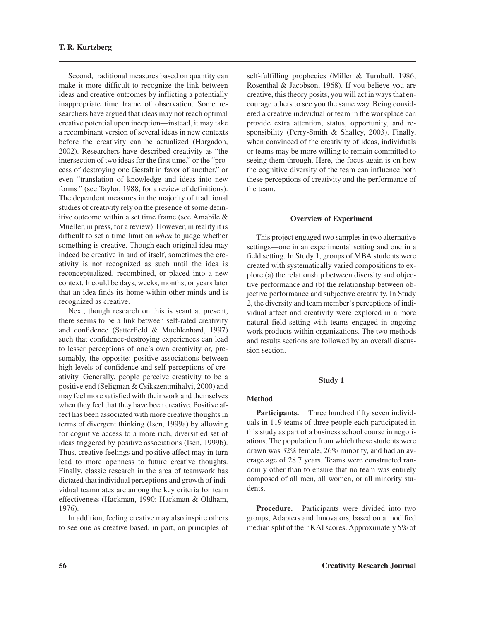Second, traditional measures based on quantity can make it more difficult to recognize the link between ideas and creative outcomes by inflicting a potentially inappropriate time frame of observation. Some researchers have argued that ideas may not reach optimal creative potential upon inception—instead, it may take a recombinant version of several ideas in new contexts before the creativity can be actualized (Hargadon, 2002). Researchers have described creativity as "the intersection of two ideas for the first time," or the "process of destroying one Gestalt in favor of another," or even "translation of knowledge and ideas into new forms " (see Taylor, 1988, for a review of definitions). The dependent measures in the majority of traditional studies of creativity rely on the presence of some definitive outcome within a set time frame (see Amabile & Mueller, in press, for a review). However, in reality it is difficult to set a time limit on *when* to judge whether something is creative. Though each original idea may indeed be creative in and of itself, sometimes the creativity is not recognized as such until the idea is reconceptualized, recombined, or placed into a new context. It could be days, weeks, months, or years later that an idea finds its home within other minds and is recognized as creative.

Next, though research on this is scant at present, there seems to be a link between self-rated creativity and confidence (Satterfield & Muehlenhard, 1997) such that confidence-destroying experiences can lead to lesser perceptions of one's own creativity or, presumably, the opposite: positive associations between high levels of confidence and self-perceptions of creativity. Generally, people perceive creativity to be a positive end (Seligman & Csikszentmihalyi, 2000) and may feel more satisfied with their work and themselves when they feel that they have been creative. Positive affect has been associated with more creative thoughts in terms of divergent thinking (Isen, 1999a) by allowing for cognitive access to a more rich, diversified set of ideas triggered by positive associations (Isen, 1999b). Thus, creative feelings and positive affect may in turn lead to more openness to future creative thoughts. Finally, classic research in the area of teamwork has dictated that individual perceptions and growth of individual teammates are among the key criteria for team effectiveness (Hackman, 1990; Hackman & Oldham, 1976).

In addition, feeling creative may also inspire others to see one as creative based, in part, on principles of self-fulfilling prophecies (Miller & Turnbull, 1986; Rosenthal & Jacobson, 1968). If you believe you are creative, this theory posits, you will act in ways that encourage others to see you the same way. Being considered a creative individual or team in the workplace can provide extra attention, status, opportunity, and responsibility (Perry-Smith & Shalley, 2003). Finally, when convinced of the creativity of ideas, individuals or teams may be more willing to remain committed to seeing them through. Here, the focus again is on how the cognitive diversity of the team can influence both these perceptions of creativity and the performance of the team.

## **Overview of Experiment**

This project engaged two samples in two alternative settings—one in an experimental setting and one in a field setting. In Study 1, groups of MBA students were created with systematically varied compositions to explore (a) the relationship between diversity and objective performance and (b) the relationship between objective performance and subjective creativity. In Study 2, the diversity and team member's perceptions of individual affect and creativity were explored in a more natural field setting with teams engaged in ongoing work products within organizations. The two methods and results sections are followed by an overall discussion section.

#### **Study 1**

#### **Method**

**Participants.** Three hundred fifty seven individuals in 119 teams of three people each participated in this study as part of a business school course in negotiations. The population from which these students were drawn was 32% female, 26% minority, and had an average age of 28.7 years. Teams were constructed randomly other than to ensure that no team was entirely composed of all men, all women, or all minority students.

**Procedure.** Participants were divided into two groups, Adapters and Innovators, based on a modified median split of their KAI scores. Approximately 5% of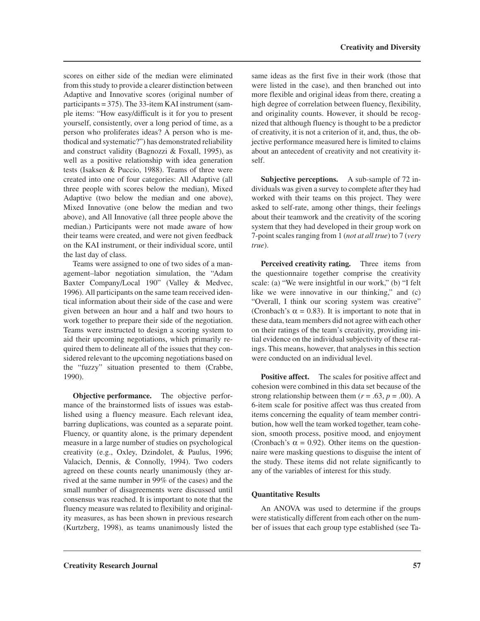scores on either side of the median were eliminated from this study to provide a clearer distinction between Adaptive and Innovative scores (original number of participants = 375). The 33-item KAI instrument (sample items: "How easy/difficult is it for you to present yourself, consistently, over a long period of time, as a person who proliferates ideas? A person who is methodical and systematic?") has demonstrated reliability and construct validity (Bagnozzi & Foxall, 1995), as well as a positive relationship with idea generation tests (Isaksen & Puccio, 1988). Teams of three were created into one of four categories: All Adaptive (all three people with scores below the median), Mixed Adaptive (two below the median and one above), Mixed Innovative (one below the median and two above), and All Innovative (all three people above the median.) Participants were not made aware of how their teams were created, and were not given feedback on the KAI instrument, or their individual score, until the last day of class.

Teams were assigned to one of two sides of a management–labor negotiation simulation, the "Adam Baxter Company/Local 190" (Valley & Medvec, 1996). All participants on the same team received identical information about their side of the case and were given between an hour and a half and two hours to work together to prepare their side of the negotiation. Teams were instructed to design a scoring system to aid their upcoming negotiations, which primarily required them to delineate all of the issues that they considered relevant to the upcoming negotiations based on the "fuzzy" situation presented to them (Crabbe, 1990).

**Objective performance.** The objective performance of the brainstormed lists of issues was established using a fluency measure. Each relevant idea, barring duplications, was counted as a separate point. Fluency, or quantity alone, is the primary dependent measure in a large number of studies on psychological creativity (e.g., Oxley, Dzindolet, & Paulus, 1996; Valacich, Dennis, & Connolly, 1994). Two coders agreed on these counts nearly unanimously (they arrived at the same number in 99% of the cases) and the small number of disagreements were discussed until consensus was reached. It is important to note that the fluency measure was related to flexibility and originality measures, as has been shown in previous research (Kurtzberg, 1998), as teams unanimously listed the same ideas as the first five in their work (those that were listed in the case), and then branched out into more flexible and original ideas from there, creating a high degree of correlation between fluency, flexibility, and originality counts. However, it should be recognized that although fluency is thought to be a predictor of creativity, it is not a criterion of it, and, thus, the objective performance measured here is limited to claims about an antecedent of creativity and not creativity itself.

**Subjective perceptions.** A sub-sample of 72 individuals was given a survey to complete after they had worked with their teams on this project. They were asked to self-rate, among other things, their feelings about their teamwork and the creativity of the scoring system that they had developed in their group work on 7-point scales ranging from 1 (*not at all true*) to 7 (*very true*).

**Perceived creativity rating.** Three items from the questionnaire together comprise the creativity scale: (a) "We were insightful in our work," (b) "I felt like we were innovative in our thinking," and (c) "Overall, I think our scoring system was creative" (Cronbach's  $\alpha = 0.83$ ). It is important to note that in these data, team members did not agree with each other on their ratings of the team's creativity, providing initial evidence on the individual subjectivity of these ratings. This means, however, that analyses in this section were conducted on an individual level.

**Positive affect.** The scales for positive affect and cohesion were combined in this data set because of the strong relationship between them ( $r = .63$ ,  $p = .00$ ). A 6-item scale for positive affect was thus created from items concerning the equality of team member contribution, how well the team worked together, team cohesion, smooth process, positive mood, and enjoyment (Cronbach's  $\alpha = 0.92$ ). Other items on the questionnaire were masking questions to disguise the intent of the study. These items did not relate significantly to any of the variables of interest for this study.

# **Quantitative Results**

An ANOVA was used to determine if the groups were statistically different from each other on the number of issues that each group type established (see Ta-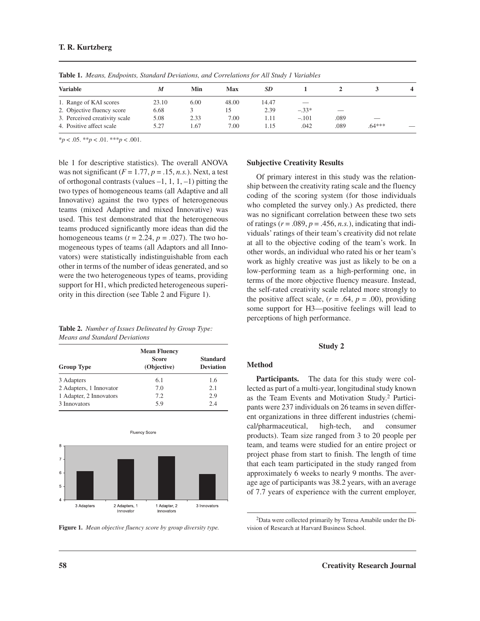| <b>Table 1.</b> Means, Enapoints, Standard Deviations, and Correlations for All Study 1 variables |       |      |       |       |         |      |          |  |
|---------------------------------------------------------------------------------------------------|-------|------|-------|-------|---------|------|----------|--|
| Variable                                                                                          | M     | Min  | Max   | SD    |         |      |          |  |
| 1. Range of KAI scores                                                                            | 23.10 | 6.00 | 48.00 | 14.47 |         |      |          |  |
| 2. Objective fluency score                                                                        | 6.68  |      |       | 2.39  | $-.33*$ |      |          |  |
| 3. Perceived creativity scale                                                                     | 5.08  | 2.33 | 7.00  | 1.11  | $-.101$ | .089 |          |  |
| 4. Positive affect scale                                                                          | 5.27  | 1.67 | 7.00  | 1.15  | .042    | .089 | $.64***$ |  |

**Table 1.** *Means, Endpoints, Standard Deviations, and Correlations for All Study 1 Variables*

\**p* < .05. \*\**p* < .01. \*\*\**p* < .001.

ble 1 for descriptive statistics). The overall ANOVA was not significant (*F* = 1.77, *p* = .15, *n.s.*). Next, a test of orthogonal contrasts (values  $-1$ , 1, 1, -1) pitting the two types of homogeneous teams (all Adaptive and all Innovative) against the two types of heterogeneous teams (mixed Adaptive and mixed Innovative) was used. This test demonstrated that the heterogeneous teams produced significantly more ideas than did the homogeneous teams  $(t = 2.24, p = .027)$ . The two homogeneous types of teams (all Adaptors and all Innovators) were statistically indistinguishable from each other in terms of the number of ideas generated, and so were the two heterogeneous types of teams, providing support for H1, which predicted heterogeneous superiority in this direction (see Table 2 and Figure 1).

**Table 2.** *Number of Issues Delineated by Group Type: Means and Standard Deviations*

| <b>Group Type</b>       | <b>Mean Fluency</b><br><b>Score</b><br>(Objective) | <b>Standard</b><br><b>Deviation</b> |  |
|-------------------------|----------------------------------------------------|-------------------------------------|--|
| 3 Adapters              | 6.1                                                | 1.6                                 |  |
| 2 Adapters, 1 Innovator | 7.0                                                | 2.1                                 |  |
| 1 Adapter, 2 Innovators | 7.2                                                | 2.9                                 |  |
| 3 Innovators            | 5.9                                                | 2.4                                 |  |



**Figure 1.** *Mean objective fluency score by group diversity type.*

#### **Subjective Creativity Results**

Of primary interest in this study was the relationship between the creativity rating scale and the fluency coding of the scoring system (for those individuals who completed the survey only.) As predicted, there was no significant correlation between these two sets of ratings  $(r = .089, p = .456, n.s.)$ , indicating that individuals' ratings of their team's creativity did not relate at all to the objective coding of the team's work. In other words, an individual who rated his or her team's work as highly creative was just as likely to be on a low-performing team as a high-performing one, in terms of the more objective fluency measure. Instead, the self-rated creativity scale related more strongly to the positive affect scale,  $(r = .64, p = .00)$ , providing some support for H3—positive feelings will lead to perceptions of high performance.

## **Study 2**

## **Method**

**Participants.** The data for this study were collected as part of a multi-year, longitudinal study known as the Team Events and Motivation Study.2 Participants were 237 individuals on 26 teams in seven different organizations in three different industries (chemical/pharmaceutical, high-tech, and consumer products). Team size ranged from 3 to 20 people per team, and teams were studied for an entire project or project phase from start to finish. The length of time that each team participated in the study ranged from approximately 6 weeks to nearly 9 months. The average age of participants was 38.2 years, with an average of 7.7 years of experience with the current employer,

<sup>2</sup>Data were collected primarily by Teresa Amabile under the Division of Research at Harvard Business School.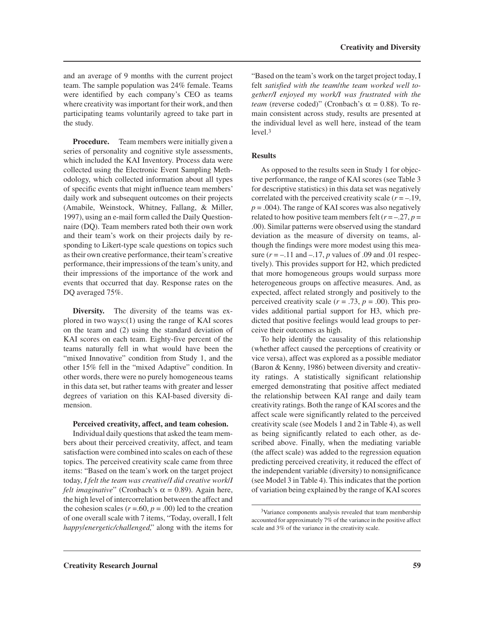and an average of 9 months with the current project team. The sample population was 24% female. Teams were identified by each company's CEO as teams where creativity was important for their work, and then participating teams voluntarily agreed to take part in the study.

**Procedure.** Team members were initially given a series of personality and cognitive style assessments, which included the KAI Inventory. Process data were collected using the Electronic Event Sampling Methodology, which collected information about all types of specific events that might influence team members' daily work and subsequent outcomes on their projects (Amabile, Weinstock, Whitney, Fallang, & Miller, 1997), using an e-mail form called the Daily Questionnaire (DQ). Team members rated both their own work and their team's work on their projects daily by responding to Likert-type scale questions on topics such as their own creative performance, their team's creative performance, their impressions of the team's unity, and their impressions of the importance of the work and events that occurred that day. Response rates on the DQ averaged 75%.

**Diversity.** The diversity of the teams was explored in two ways:(1) using the range of KAI scores on the team and (2) using the standard deviation of KAI scores on each team. Eighty-five percent of the teams naturally fell in what would have been the "mixed Innovative" condition from Study 1, and the other 15% fell in the "mixed Adaptive" condition. In other words, there were no purely homogeneous teams in this data set, but rather teams with greater and lesser degrees of variation on this KAI-based diversity dimension.

#### **Perceived creativity, affect, and team cohesion.**

Individual daily questions that asked the team members about their perceived creativity, affect, and team satisfaction were combined into scales on each of these topics. The perceived creativity scale came from three items: "Based on the team's work on the target project today, *I felt the team was creative*/*I did creative work*/*I felt imaginative*" (Cronbach's  $\alpha$  = 0.89). Again here, the high level of intercorrelation between the affect and the cohesion scales  $(r = .60, p = .00)$  led to the creation of one overall scale with 7 items, "Today, overall, I felt *happy*/*energetic/challenged,*" along with the items for "Based on the team's work on the target project today, I felt *satisfied with the team*/*the team worked well together/I enjoyed my work/I was frustrated with the team* (reverse coded)" (Cronbach's  $\alpha = 0.88$ ). To remain consistent across study, results are presented at the individual level as well here, instead of the team level.3

# **Results**

As opposed to the results seen in Study 1 for objective performance, the range of KAI scores (see Table 3 for descriptive statistics) in this data set was negatively correlated with the perceived creativity scale  $(r = -19)$ ,  $p = .004$ ). The range of KAI scores was also negatively related to how positive team members felt  $(r = -.27, p =$ .00). Similar patterns were observed using the standard deviation as the measure of diversity on teams, although the findings were more modest using this measure (*r* = –.11 and –.17, *p* values of .09 and .01 respectively). This provides support for H2, which predicted that more homogeneous groups would surpass more heterogeneous groups on affective measures. And, as expected, affect related strongly and positively to the perceived creativity scale  $(r = .73, p = .00)$ . This provides additional partial support for H3, which predicted that positive feelings would lead groups to perceive their outcomes as high.

To help identify the causality of this relationship (whether affect caused the perceptions of creativity or vice versa), affect was explored as a possible mediator (Baron & Kenny, 1986) between diversity and creativity ratings. A statistically significant relationship emerged demonstrating that positive affect mediated the relationship between KAI range and daily team creativity ratings. Both the range of KAI scores and the affect scale were significantly related to the perceived creativity scale (see Models 1 and 2 in Table 4), as well as being significantly related to each other, as described above. Finally, when the mediating variable (the affect scale) was added to the regression equation predicting perceived creativity, it reduced the effect of the independent variable (diversity) to nonsignificance (see Model 3 in Table 4). This indicates that the portion of variation being explained by the range of KAI scores

<sup>3</sup>Variance components analysis revealed that team membership accounted for approximately 7% of the variance in the positive affect scale and 3% of the variance in the creativity scale.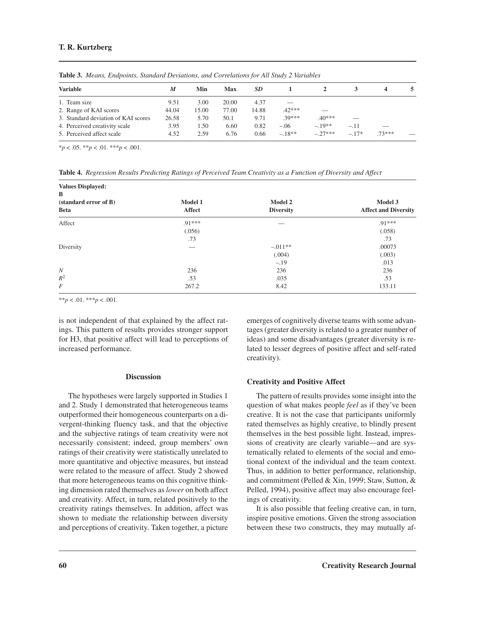## **T. R. Kurtzberg**

| <b>Variable</b>                     | M     | Min   | Max   | <i>SD</i> |          |          |        | 4       |  |
|-------------------------------------|-------|-------|-------|-----------|----------|----------|--------|---------|--|
| 1. Team size                        | 9.51  | 3.00  | 20.00 | 4.37      |          |          |        |         |  |
| 2. Range of KAI scores              | 44.04 | 15.00 | 77.00 | 14.88     | $.42***$ |          |        |         |  |
| 3. Standard deviation of KAI scores | 26.58 | 5.70  | 50.1  | 9.71      | $.39***$ | $.40***$ |        |         |  |
| 4. Perceived creativity scale       | 3.95  | 1.50  | 6.60  | 0.82      | $-.06$   | $-.19**$ | $-.11$ |         |  |
| 5. Perceived affect scale           | 4.52  | 2.59  | 6.76  | 0.66      | $-.18**$ | $-27***$ | $-17*$ | $73***$ |  |

**Table 3.** *Means, Endpoints, Standard Deviations, and Correlations for All Study 2 Variables*

\**p* < .05. \*\**p* < .01. \*\*\**p* < .001.

**Table 4.** *Regression Results Predicting Ratings of Perceived Team Creativity as a Function of Diversity and Affect*

| <b>Values Displayed:</b><br>B        |                   |                                    |                                        |  |  |
|--------------------------------------|-------------------|------------------------------------|----------------------------------------|--|--|
| (standard error of B)<br><b>Beta</b> | Model 1<br>Affect | <b>Model 2</b><br><b>Diversity</b> | Model 3<br><b>Affect and Diversity</b> |  |  |
| Affect                               | $.91***$          |                                    | .91***                                 |  |  |
|                                      | (.056)            |                                    | (.058)                                 |  |  |
|                                      | .73               |                                    | .73                                    |  |  |
| Diversity                            | __                | $-.011**$                          | .00073                                 |  |  |
|                                      |                   | (.004)                             | (.003)                                 |  |  |
|                                      |                   | $-.19$                             | .013                                   |  |  |
| $\boldsymbol{N}$                     | 236               | 236                                | 236                                    |  |  |
| $R^2$                                | .53               | .035                               | .53                                    |  |  |
| F                                    | 267.2             | 8.42                               | 133.11                                 |  |  |

 $**p < .01.$  \*\*\**p* < .001.

is not independent of that explained by the affect ratings. This pattern of results provides stronger support for H3, that positive affect will lead to perceptions of increased performance.

#### **Discussion**

The hypotheses were largely supported in Studies 1 and 2. Study 1 demonstrated that heterogeneous teams outperformed their homogeneous counterparts on a divergent-thinking fluency task, and that the objective and the subjective ratings of team creativity were not necessarily consistent; indeed, group members' own ratings of their creativity were statistically unrelated to more quantitative and objective measures, but instead were related to the measure of affect. Study 2 showed that more heterogeneous teams on this cognitive thinking dimension rated themselves as *lower* on both affect and creativity. Affect, in turn, related positively to the creativity ratings themselves. In addition, affect was shown to mediate the relationship between diversity and perceptions of creativity. Taken together, a picture

emerges of cognitively diverse teams with some advantages (greater diversity is related to a greater number of ideas) and some disadvantages (greater diversity is related to lesser degrees of positive affect and self-rated creativity).

# **Creativity and Positive Affect**

The pattern of results provides some insight into the question of what makes people *feel* as if they've been creative. It is not the case that participants uniformly rated themselves as highly creative, to blindly present themselves in the best possible light. Instead, impressions of creativity are clearly variable—and are systematically related to elements of the social and emotional context of the individual and the team context. Thus, in addition to better performance, relationship, and commitment (Pelled & Xin, 1999; Staw, Sutton, & Pelled, 1994), positive affect may also encourage feelings of creativity.

It is also possible that feeling creative can, in turn, inspire positive emotions. Given the strong association between these two constructs, they may mutually af-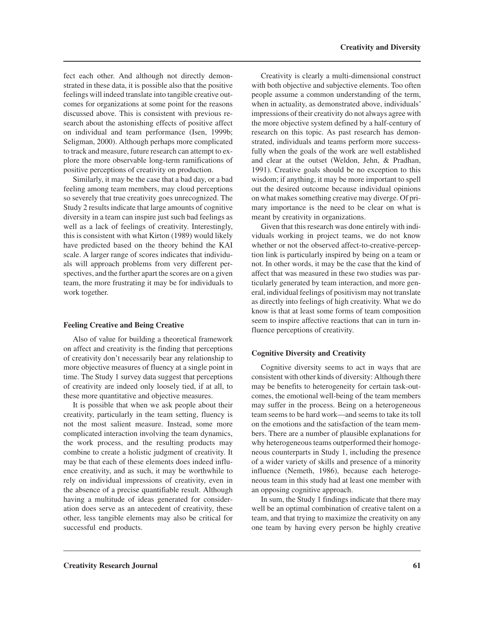fect each other. And although not directly demonstrated in these data, it is possible also that the positive feelings will indeed translate into tangible creative outcomes for organizations at some point for the reasons discussed above. This is consistent with previous research about the astonishing effects of positive affect on individual and team performance (Isen, 1999b; Seligman, 2000). Although perhaps more complicated to track and measure, future research can attempt to explore the more observable long-term ramifications of positive perceptions of creativity on production.

Similarly, it may be the case that a bad day, or a bad feeling among team members, may cloud perceptions so severely that true creativity goes unrecognized. The Study 2 results indicate that large amounts of cognitive diversity in a team can inspire just such bad feelings as well as a lack of feelings of creativity. Interestingly, this is consistent with what Kirton (1989) would likely have predicted based on the theory behind the KAI scale. A larger range of scores indicates that individuals will approach problems from very different perspectives, and the further apart the scores are on a given team, the more frustrating it may be for individuals to work together.

## **Feeling Creative and Being Creative**

Also of value for building a theoretical framework on affect and creativity is the finding that perceptions of creativity don't necessarily bear any relationship to more objective measures of fluency at a single point in time. The Study 1 survey data suggest that perceptions of creativity are indeed only loosely tied, if at all, to these more quantitative and objective measures.

It is possible that when we ask people about their creativity, particularly in the team setting, fluency is not the most salient measure. Instead, some more complicated interaction involving the team dynamics, the work process, and the resulting products may combine to create a holistic judgment of creativity. It may be that each of these elements does indeed influence creativity, and as such, it may be worthwhile to rely on individual impressions of creativity, even in the absence of a precise quantifiable result. Although having a multitude of ideas generated for consideration does serve as an antecedent of creativity, these other, less tangible elements may also be critical for successful end products.

Creativity is clearly a multi-dimensional construct with both objective and subjective elements. Too often people assume a common understanding of the term, when in actuality, as demonstrated above, individuals' impressions of their creativity do not always agree with the more objective system defined by a half-century of research on this topic. As past research has demonstrated, individuals and teams perform more successfully when the goals of the work are well established and clear at the outset (Weldon, Jehn, & Pradhan, 1991). Creative goals should be no exception to this wisdom; if anything, it may be more important to spell out the desired outcome because individual opinions on what makes something creative may diverge. Of primary importance is the need to be clear on what is meant by creativity in organizations.

Given that this research was done entirely with individuals working in project teams, we do not know whether or not the observed affect-to-creative-perception link is particularly inspired by being on a team or not. In other words, it may be the case that the kind of affect that was measured in these two studies was particularly generated by team interaction, and more general, individual feelings of positivism may not translate as directly into feelings of high creativity. What we do know is that at least some forms of team composition seem to inspire affective reactions that can in turn influence perceptions of creativity.

# **Cognitive Diversity and Creativity**

Cognitive diversity seems to act in ways that are consistent with other kinds of diversity: Although there may be benefits to heterogeneity for certain task-outcomes, the emotional well-being of the team members may suffer in the process. Being on a heterogeneous team seems to be hard work—and seems to take its toll on the emotions and the satisfaction of the team members. There are a number of plausible explanations for why heterogeneous teams outperformed their homogeneous counterparts in Study 1, including the presence of a wider variety of skills and presence of a minority influence (Nemeth, 1986), because each heterogeneous team in this study had at least one member with an opposing cognitive approach.

In sum, the Study 1 findings indicate that there may well be an optimal combination of creative talent on a team, and that trying to maximize the creativity on any one team by having every person be highly creative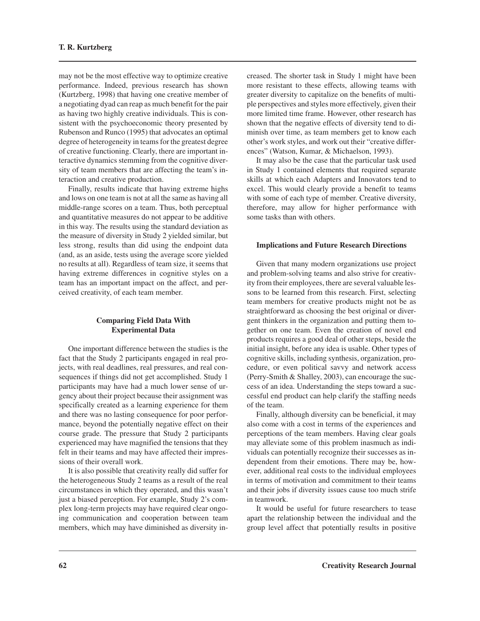may not be the most effective way to optimize creative performance. Indeed, previous research has shown (Kurtzberg, 1998) that having one creative member of a negotiating dyad can reap as much benefit for the pair as having two highly creative individuals. This is consistent with the psychoeconomic theory presented by Rubenson and Runco (1995) that advocates an optimal degree of heterogeneity in teams for the greatest degree of creative functioning. Clearly, there are important interactive dynamics stemming from the cognitive diversity of team members that are affecting the team's interaction and creative production.

Finally, results indicate that having extreme highs and lows on one team is not at all the same as having all middle-range scores on a team. Thus, both perceptual and quantitative measures do not appear to be additive in this way. The results using the standard deviation as the measure of diversity in Study 2 yielded similar, but less strong, results than did using the endpoint data (and, as an aside, tests using the average score yielded no results at all). Regardless of team size, it seems that having extreme differences in cognitive styles on a team has an important impact on the affect, and perceived creativity, of each team member.

# **Comparing Field Data With Experimental Data**

One important difference between the studies is the fact that the Study 2 participants engaged in real projects, with real deadlines, real pressures, and real consequences if things did not get accomplished. Study 1 participants may have had a much lower sense of urgency about their project because their assignment was specifically created as a learning experience for them and there was no lasting consequence for poor performance, beyond the potentially negative effect on their course grade. The pressure that Study 2 participants experienced may have magnified the tensions that they felt in their teams and may have affected their impressions of their overall work.

It is also possible that creativity really did suffer for the heterogeneous Study 2 teams as a result of the real circumstances in which they operated, and this wasn't just a biased perception. For example, Study 2's complex long-term projects may have required clear ongoing communication and cooperation between team members, which may have diminished as diversity increased. The shorter task in Study 1 might have been more resistant to these effects, allowing teams with greater diversity to capitalize on the benefits of multiple perspectives and styles more effectively, given their more limited time frame. However, other research has shown that the negative effects of diversity tend to diminish over time, as team members get to know each other's work styles, and work out their "creative differences" (Watson, Kumar, & Michaelson, 1993).

It may also be the case that the particular task used in Study 1 contained elements that required separate skills at which each Adapters and Innovators tend to excel. This would clearly provide a benefit to teams with some of each type of member. Creative diversity, therefore, may allow for higher performance with some tasks than with others.

## **Implications and Future Research Directions**

Given that many modern organizations use project and problem-solving teams and also strive for creativity from their employees, there are several valuable lessons to be learned from this research. First, selecting team members for creative products might not be as straightforward as choosing the best original or divergent thinkers in the organization and putting them together on one team. Even the creation of novel end products requires a good deal of other steps, beside the initial insight, before any idea is usable. Other types of cognitive skills, including synthesis, organization, procedure, or even political savvy and network access (Perry-Smith & Shalley, 2003), can encourage the success of an idea. Understanding the steps toward a successful end product can help clarify the staffing needs of the team.

Finally, although diversity can be beneficial, it may also come with a cost in terms of the experiences and perceptions of the team members. Having clear goals may alleviate some of this problem inasmuch as individuals can potentially recognize their successes as independent from their emotions. There may be, however, additional real costs to the individual employees in terms of motivation and commitment to their teams and their jobs if diversity issues cause too much strife in teamwork.

It would be useful for future researchers to tease apart the relationship between the individual and the group level affect that potentially results in positive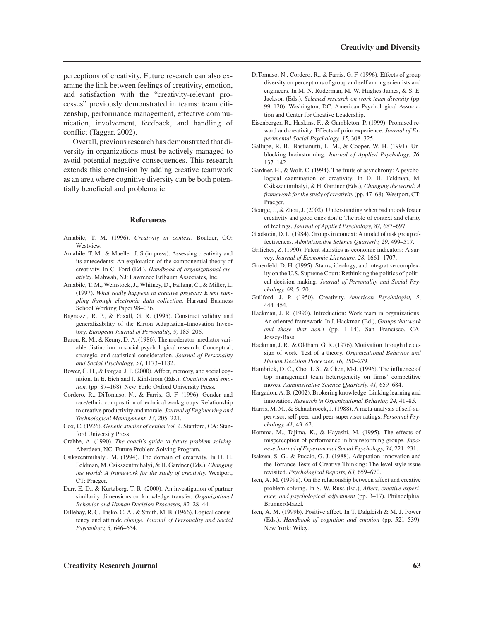perceptions of creativity. Future research can also examine the link between feelings of creativity, emotion, and satisfaction with the "creativity-relevant processes" previously demonstrated in teams: team citizenship, performance management, effective communication, involvement, feedback, and handling of conflict (Taggar, 2002).

Overall, previous research has demonstrated that diversity in organizations must be actively managed to avoid potential negative consequences. This research extends this conclusion by adding creative teamwork as an area where cognitive diversity can be both potentially beneficial and problematic.

#### **References**

- Amabile, T. M. (1996). *Creativity in context.* Boulder, CO: Westview.
- Amabile, T. M., & Mueller, J. S.(in press). Assessing creativity and its antecedents: An exploration of the componential theory of creativity. In C. Ford (Ed.), *Handbook of organizational creativity*. Mahwah, NJ: Lawrence Erlbaum Associates, Inc.
- Amabile, T. M., Weinstock, J., Whitney, D., Fallang, C., & Miller, L. (1997). *What really happens in creative projects: Event sampling through electronic data collection.* Harvard Business School Working Paper 98–036.
- Bagnozzi, R. P., & Foxall, G. R. (1995). Construct validity and generalizability of the Kirton Adaptation–Innovation Inventory. *European Journal of Personality, 9,* 185–206.
- Baron, R. M., & Kenny, D. A. (1986). The moderator–mediator variable distinction in social psychological research: Conceptual, strategic, and statistical consideration. *Journal of Personality and Social Psychology, 51,* 1173–1182.
- Bower, G. H., & Forgas, J. P. (2000). Affect, memory, and social cognition. In E. Eich and J. Kihlstrom (Eds.), *Cognition and emotion.* (pp. 87–168). New York: Oxford University Press.
- Cordero, R., DiTomaso, N., & Farris, G. F. (1996). Gender and race/ethnic composition of technical work groups: Relationship to creative productivity and morale. *Journal of Engineering and Technological Management, 13,* 205–221.
- Cox, C. (1926). *Genetic studies of genius Vol. 2*. Stanford, CA: Stanford University Press.
- Crabbe, A. (1990). *The coach's guide to future problem solving*. Aberdeen, NC: Future Problem Solving Program.
- Csikszentmihalyi, M. (1994). The domain of creativity. In D. H. Feldman, M. Csikszentmihalyi, & H. Gardner (Eds.), *Changing the world: A framework for the study of creativity*. Westport, CT: Praeger.
- Darr, E. D., & Kurtzberg, T. R. (2000). An investigation of partner similarity dimensions on knowledge transfer. *Organizational Behavior and Human Decision Processes, 82,* 28–44.
- Dillehay, R. C., Insko, C. A., & Smith, M. B. (1966). Logical consistency and attitude *change. Journal of Personality and Social Psychology, 3,* 646–654.
- DiTomaso, N., Cordero, R., & Farris, G. F. (1996). Effects of group diversity on perceptions of group and self among scientists and engineers. In M. N. Ruderman, M. W. Hughes-James, & S. E. Jackson (Eds.), *Selected research on work team diversity* (pp. 99–120). Washington, DC: American Psychological Association and Center for Creative Leadership.
- Eisenberger, R., Haskins, F., & Gambleton, P. (1999). Promised reward and creativity: Effects of prior experience. *Journal of Experimental Social Psychology, 35,* 308–325.
- Gallupe, R. B., Bastianutti, L. M., & Cooper, W. H. (1991). Unblocking brainstorming. *Journal of Applied Psychology, 76,* 137–142.
- Gardner, H., & Wolf, C. (1994). The fruits of asynchrony: A psychological examination of creativity. In D. H. Feldman, M. Csikszentmihalyi, & H. Gardner (Eds.), *Changing the world: A framework for the study of creativity* (pp. 47–68). Westport, CT: Praeger.
- George, J., & Zhou, J. (2002). Understanding when bad moods foster creativity and good ones don't: The role of context and clarity of feelings. *Journal of Applied Psychology, 87,* 687–697.
- Gladstein, D. L. (1984). Groups in context: A model of task group effectiveness. *Administrative Science Quarterly, 29,* 499–517.
- Griliches, Z. (1990). Patent statistics as economic indicators: A survey. *Journal of Economic Literature, 28,* 1661–1707.
- Gruenfeld, D. H. (1995). Status, ideology, and integrative complexity on the U.S. Supreme Court: Rethinking the politics of political decision making. *Journal of Personality and Social Psychology, 68*, 5–20.
- Guilford, J. P. (1950). Creativity. *American Psychologist, 5*, 444–454.
- Hackman, J. R. (1990). Introduction: Work team in organizations: An oriented framework. In J. Hackman (Ed.), *Groups that work and those that don't* (pp. 1–14). San Francisco, CA: Jossey-Bass.
- Hackman, J. R., & Oldham, G. R. (1976). Motivation through the design of work: Test of a theory. *Organizational Behavior and Human Decision Processes, 16,* 250–279.
- Hambrick, D. C., Cho, T. S., & Chen, M-J. (1996). The influence of top management team heterogeneity on firms' competitive moves*. Administrative Science Quarterly, 41,* 659–684.
- Hargadon, A. B. (2002). Brokering knowledge: Linking learning and innovation. *Research in Organizational Behavior, 24,* 41–85.
- Harris, M. M., & Schaubroeck, J. (1988). A meta-analysis of self-supervisor, self-peer, and peer-supervisor ratings. *Personnel Psychology, 41,* 43–62.
- Homma, M., Tajima, K., & Hayashi, M. (1995). The effects of misperception of performance in brainstorming groups. *Japanese Journal of Experimental Social Psychology, 34,* 221–231.
- Isaksen, S. G., & Puccio, G. J. (1988). Adaptation–innovation and the Torrance Tests of Creative Thinking: The level-style issue revisited. *Psychological Reports, 63,* 659–670.
- Isen, A. M. (1999a). On the relationship between affect and creative problem solving. In S. W. Russ (Ed.), *Affect, creative experience, and psychological adjustment* (pp. 3–17). Philadelphia: Brunner/Mazel.
- Isen, A. M. (1999b). Positive affect. In T. Dalgleish & M. J. Power (Eds.), *Handbook of cognition and emotion* (pp. 521–539). New York: Wiley.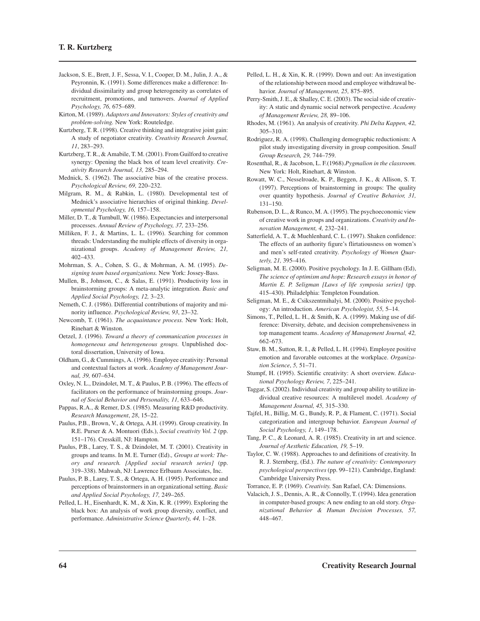- Jackson, S. E., Brett, J. F., Sessa, V. I., Cooper, D. M., Julin, J. A., & Peyronnin, K. (1991). Some differences make a difference: Individual dissimilarity and group heterogeneity as correlates of recruitment, promotions, and turnovers. *Journal of Applied Psychology, 76,* 675–689.
- Kirton, M. (1989). *Adaptors and Innovators: Styles of creativity and problem-solving.* New York: Routeledge.
- Kurtzberg, T. R. (1998). Creative thinking and integrative joint gain: A study of negotiator creativity. *Creativity Research Journal, 11*, 283–293.
- Kurtzberg, T. R., & Amabile, T. M. (2001). From Guilford to creative synergy: Opening the black box of team level creativity. *Creativity Research Journal, 13,* 285–294.
- Mednick, S. (1962). The associative bias of the creative process. *Psychological Review, 69,* 220–232.
- Milgram, R. M., & Rabkin, L. (1980). Developmental test of Mednick's associative hierarchies of original thinking. *Developmental Psychology, 16,* 157–158.
- Miller, D. T., & Turnbull, W. (1986). Expectancies and interpersonal processes. *Annual Review of Psychology, 37,* 233–256.
- Milliken, F. J., & Martins, L. L. (1996). Searching for common threads: Understanding the multiple effects of diversity in organizational groups. *Academy of Management Review, 21,* 402–433.
- Mohrman, S. A., Cohen, S. G., & Mohrman, A. M. (1995). *Designing team based organizations.* New York: Jossey-Bass.
- Mullen, B., Johnson, C., & Salas, E. (1991). Productivity loss in brainstorming groups: A meta-analytic integration. *Basic and Applied Social Psychology, 12,* 3–23.
- Nemeth, C. J. (1986). Differential contributions of majority and minority influence. *Psychological Review, 93*, 23–32.
- Newcomb, T. (1961). *The acquaintance process.* New York: Holt, Rinehart & Winston.
- Oetzel, J. (1996). *Toward a theory of communication processes in homogeneous and heterogeneous groups.* Unpublished doctoral dissertation, University of Iowa.
- Oldham, G., & Cummings, A. (1996). Employee creativity: Personal and contextual factors at work. *Academy of Management Journal, 39,* 607–634.
- Oxley, N. L., Dzindolet, M. T., & Paulus, P. B. (1996). The effects of facilitators on the performance of brainstorming groups. *Journal of Social Behavior and Personality, 11,* 633–646.
- Pappas, R.A., & Remer, D.S. (1985). Measuring R&D productivity. *Research Management*, *28*, 15–22.
- Paulus, P.B., Brown, V., & Ortega, A.H. (1999). Group creativity. In R.E. Purser & A. Montuori (Eds.), *Social creativity Vol. 2* (pp. 151–176). Cresskill, NJ: Hampton.
- Paulus, P.B., Larey, T. S., & Dzindolet, M. T. (2001). Creativity in groups and teams. In M. E. Turner (Ed).*, Groups at work: Theory and research. [Applied social research series]* (pp. 319–338). Mahwah, NJ: Lawrence Erlbaum Associates, Inc.
- Paulus, P. B., Larey, T. S., & Ortega, A. H. (1995). Performance and perceptions of brainstormers in an organizational setting. *Basic and Applied Social Psychology, 17,* 249–265.
- Pelled, L. H., Eisenhardt, K. M., & Xin, K. R. (1999). Exploring the black box: An analysis of work group diversity, conflict, and performance. *Administrative Science Quarterly, 44,* 1–28.
- Pelled, L. H., & Xin, K. R. (1999). Down and out: An investigation of the relationship between mood and employee withdrawal behavior. *Journal of Management, 25,* 875–895.
- Perry-Smith, J. E., & Shalley, C. E. (2003). The social side of creativity: A static and dynamic social network perspective. *Academy of Management Review, 28,* 89–106.
- Rhodes, M. (1961). An analysis of creativity. *Phi Delta Kappen, 42,* 305–310.
- Rodriguez, R. A. (1998). Challenging demographic reductionism: A pilot study investigating diversity in group composition. *Small Group Research, 29,* 744–759.
- Rosenthal, R., & Jacobson, L. F.(1968).*Pygmalion in the classroom.* New York: Holt, Rinehart, & Winston.
- Rowatt, W. C., Nesselroade, K. P., Beggen, J. K., & Allison, S. T. (1997). Perceptions of brainstorming in groups: The quality over quantity hypothesis. *Journal of Creative Behavior, 31,* 131–150.
- Rubenson, D. L., & Runco, M. A. (1995). The psychoeconomic view of creative work in groups and organizations. *Creativity and Innovation Management, 4,* 232–241.
- Satterfield, A. T., & Muehlenhard, C. L. (1997). Shaken confidence: The effects of an authority figure's flirtatiousness on women's and men's self-rated creativity. *Psychology of Women Quarterly, 21,* 395–416.
- Seligman, M. E. (2000). Positive psychology. In J. E. Gillham (Ed), *The science of optimism and hope: Research essays in honor of Martin E. P. Seligman [Laws of life symposia series]* (pp. 415–430). Philadelphia: Templeton Foundation.
- Seligman, M. E., & Csikszentmihalyi, M. (2000). Positive psychology: An introduction. *American Psychologist, 55,* 5–14.
- Simons, T., Pelled, L. H., & Smith, K. A. (1999). Making use of difference: Diversity, debate, and decision comprehensiveness in top management teams. *Academy of Management Journal, 42,* 662–673.
- Staw, B. M., Sutton, R. I., & Pelled, L. H. (1994). Employee positive emotion and favorable outcomes at the workplace. *Organization Science*, *5,* 51–71.
- Stumpf, H. (1995). Scientific creativity: A short overview. *Educational Psychology Review, 7*, 225–241.
- Taggar, S. (2002). Individual creativity and group ability to utilize individual creative resources: A multilevel model. *Academy of Management Journal, 45,* 315–330.
- Tajfel, H., Billig, M. G., Bundy, R. P., & Flament, C. (1971). Social categorization and intergroup behavior. *European Journal of Social Psychology, 1*, 149–178.
- Tang, P. C., & Leonard, A. R. (1985). Creativity in art and science. *Journal of Aesthetic Education, 19,* 5–19.
- Taylor, C. W. (1988). Approaches to and definitions of creativity. In R. J. Sternberg, (Ed.). *The nature of creativity: Contemporary psychological perspectives* (pp. 99–121). Cambridge, England: Cambridge University Press.
- Torrance, E. P. (1969). *Creativity.* San Rafael, CA: Dimensions.
- Valacich, J. S., Dennis, A. R., & Connolly, T. (1994). Idea generation in computer-based groups: A new ending to an old story. *Organizational Behavior & Human Decision Processes, 57,* 448–467.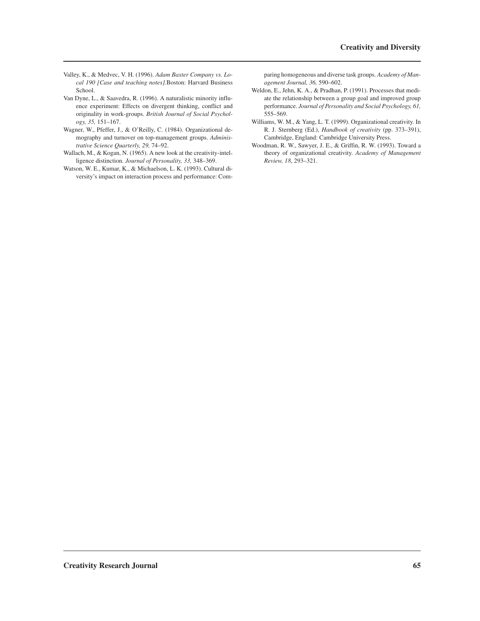- Valley, K., & Medvec, V. H. (1996). *Adam Baxter Company vs. Local 190 [Case and teaching notes].*Boston: Harvard Business School.
- Van Dyne, L., & Saavedra, R. (1996). A naturalistic minority influence experiment: Effects on divergent thinking, conflict and originality in work-groups. *British Journal of Social Psychology, 35,* 151–167.
- Wagner, W., Pfeffer, J., & O'Reilly, C. (1984). Organizational demography and turnover on top-management groups. *Administrative Science Quarterly, 29,* 74–92.
- Wallach, M., & Kogan, N. (1965). A new look at the creativity-intelligence distinction. *Journal of Personality, 33,* 348–369.
- Watson, W. E., Kumar, K., & Michaelson, L. K. (1993). Cultural diversity's impact on interaction process and performance: Com-

paring homogeneous and diverse task groups. *Academy of Management Journal, 36,* 590–602.

- Weldon, E., Jehn, K. A., & Pradhan, P. (1991). Processes that mediate the relationship between a group goal and improved group performance. *Journal of Personality and Social Psychology, 61,* 555–569.
- Williams, W. M., & Yang, L. T. (1999). Organizational creativity. In R. J. Sternberg (Ed.), *Handbook of creativity* (pp. 373–391), Cambridge, England: Cambridge University Press.
- Woodman, R. W., Sawyer, J. E., & Griffin, R. W. (1993). Toward a theory of organizational creativity. *Academy of Management Review, 18*, 293–321.